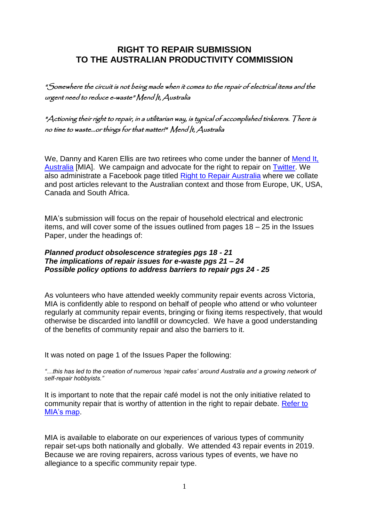## **RIGHT TO REPAIR SUBMISSION TO THE AUSTRALIAN PRODUCTIVITY COMMISSION**

"Somewhere the circuit is not being made when it comes to the repair of electrical items and the urgent need to reduce e-waste" Mend It, Australia

"Actioning their right to repair, in a utilitarian way, is typical of accomplished tinkerers. There is no time to waste...or things for that matter!" Mend It, Australia

We, Danny and Karen Ellis are two retirees who come under the banner of Mend It, [Australia](https://www.facebook.com/mendaussie/) [MIA]. We campaign and advocate for the right to repair on [Twitter.](https://twitter.com/MendItAussie) We also administrate a Facebook page titled [Right to Repair Australia](https://www.facebook.com/r2rAussie/) where we collate and post articles relevant to the Australian context and those from Europe, UK, USA, Canada and South Africa.

MIA's submission will focus on the repair of household electrical and electronic items, and will cover some of the issues outlined from pages 18 – 25 in the Issues Paper, under the headings of:

## *Planned product obsolescence strategies pgs 18 - 21 The implications of repair issues for e-waste pgs 21 – 24 Possible policy options to address barriers to repair pgs 24 - 25*

As volunteers who have attended weekly community repair events across Victoria, MIA is confidently able to respond on behalf of people who attend or who volunteer regularly at community repair events, bringing or fixing items respectively, that would otherwise be discarded into landfill or downcycled. We have a good understanding of the benefits of community repair and also the barriers to it.

It was noted on page 1 of the Issues Paper the following:

*"…this has led to the creation of numerous 'repair cafes' around Australia and a growing network of self-repair hobbyists."*

It is important to note that the repair café model is not the only initiative related to community repair that is worthy of attention in the right to repair debate. [Refer to](https://www.google.com.au/maps/d/edit?mid=1lyU0wfhA-9zSp_9rTBfFqXP0MRzmtrDs&ll=-32.32541116779111%2C134.62882150000002&z=5)  [MIA's map.](https://www.google.com.au/maps/d/edit?mid=1lyU0wfhA-9zSp_9rTBfFqXP0MRzmtrDs&ll=-32.32541116779111%2C134.62882150000002&z=5)

MIA is available to elaborate on our experiences of various types of community repair set-ups both nationally and globally. We attended 43 repair events in 2019. Because we are roving repairers, across various types of events, we have no allegiance to a specific community repair type.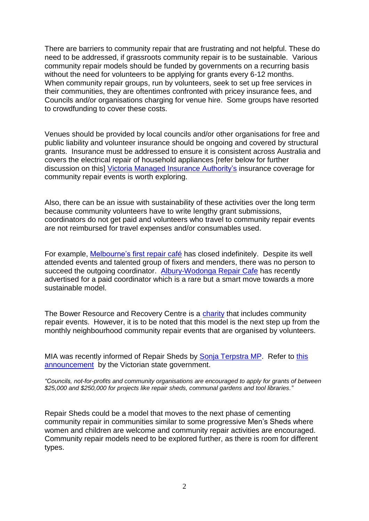There are barriers to community repair that are frustrating and not helpful. These do need to be addressed, if grassroots community repair is to be sustainable. Various community repair models should be funded by governments on a recurring basis without the need for volunteers to be applying for grants every 6-12 months. When community repair groups, run by volunteers, seek to set up free services in their communities, they are oftentimes confronted with pricey insurance fees, and Councils and/or organisations charging for venue hire. Some groups have resorted to crowdfunding to cover these costs.

Venues should be provided by local councils and/or other organisations for free and public liability and volunteer insurance should be ongoing and covered by structural grants. Insurance must be addressed to ensure it is consistent across Australia and covers the electrical repair of household appliances [refer below for further discussion on this] Victoria Managed [Insurance Authority's](https://www.vmia.vic.gov.au/) insurance coverage for community repair events is worth exploring.

Also, there can be an issue with sustainability of these activities over the long term because community volunteers have to write lengthy grant submissions, coordinators do not get paid and volunteers who travel to community repair events are not reimbursed for travel expenses and/or consumables used.

For example, [Melbourne's first](http://www.melbournerepaircafe.org/) repair café has closed indefinitely. Despite its well attended events and talented group of fixers and menders, there was no person to succeed the outgoing coordinator. [Albury-Wodonga](https://www.facebook.com/repaircafeaw/posts/4000554403297637) Repair Cafe has recently advertised for a paid coordinator which is a rare but a smart move towards a more sustainable model.

The Bower Resource and Recovery Centre is a [charity](https://www.acnc.gov.au/charity/dcf2c462f7d726de85de7a3dfb07468d) that includes community repair events. However, it is to be noted that this model is the next step up from the monthly neighbourhood community repair events that are organised by volunteers.

MIA was recently informed of Repair Sheds by [Sonja Terpstra MP.](https://www.facebook.com/SonjaTerpstraMP) Refer to [this](https://www.premier.vic.gov.au/new-facility-recycle-hazardous-waste?fbclid=IwAR2Iyz3M6o9wxa_1-Lkj588tL6KiXGG3RZbnuXKlreav2oVtBTgE3nUmZ5Y)  [announcement](https://www.premier.vic.gov.au/new-facility-recycle-hazardous-waste?fbclid=IwAR2Iyz3M6o9wxa_1-Lkj588tL6KiXGG3RZbnuXKlreav2oVtBTgE3nUmZ5Y) by the Victorian state government.

*"Councils, not-for-profits and community organisations are encouraged to apply for grants of between \$25,000 and \$250,000 for projects like repair sheds, communal gardens and tool libraries."*

Repair Sheds could be a model that moves to the next phase of cementing community repair in communities similar to some progressive Men's Sheds where women and children are welcome and community repair activities are encouraged. Community repair models need to be explored further, as there is room for different types.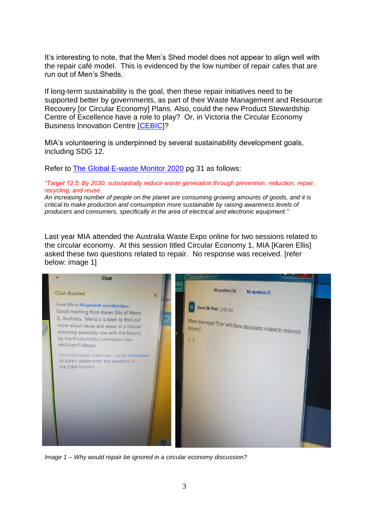It's interesting to note, that the Men's Shed model does not appear to align well with the repair café model. This is evidenced by the low number of repair cafes that are run out of Men's Sheds.

If long-term sustainability is the goal, then these repair initiatives need to be supported better by governments, as part of their Waste Management and Resource Recovery [or Circular Economy] Plans. Also, could the new Product Stewardship Centre of Excellence have a role to play? Or, in Victoria the Circular Economy Business Innovation Centre [\[CEBIC\]](https://www.cebic.vic.gov.au/)?

MIA's volunteering is underpinned by several sustainability development goals, including SDG 12.

Refer to [The Global E-waste Monitor 2020](http://ewastemonitor.info/) pg 31 as follows:

## *"Target 12.5: By 2030, substantially reduce waste generation through prevention, reduction, repair, recycling, and reuse.*

*An increasing number of people on the planet are consuming growing amounts of goods, and it is critical to make production and consumption more sustainable by raising awareness levels of producers and consumers, specifically in the area of electrical and electronic equipment."*

Last year MIA attended the Australia Waste Expo online for two sessions related to the circular economy. At this session titled Circular Economy 1, MIA [Karen Ellis] asked these two questions related to repair. No response was received. [refer below: image 1]



*Image 1 – Why would repair be ignored in a circular economy discussion?*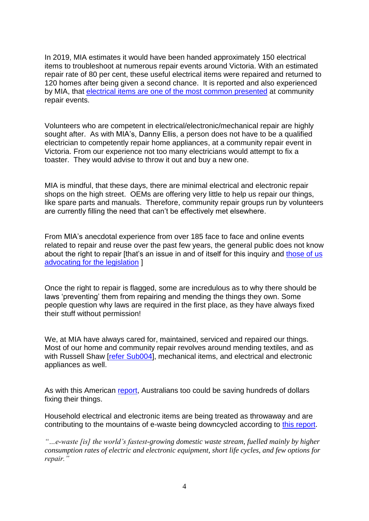In 2019, MIA estimates it would have been handed approximately 150 electrical items to troubleshoot at numerous repair events around Victoria. With an estimated repair rate of 80 per cent, these useful electrical items were repaired and returned to 120 homes after being given a second chance. It is reported and also experienced by MIA, that [electrical items are one of the](https://repaircafe.org/en/wp-content/uploads/sites/2/2020/05/RepairMonitor_analysis_2019_05052020_ENGLISH.pdf) most common presented at community repair events.

Volunteers who are competent in electrical/electronic/mechanical repair are highly sought after. As with MIA's, Danny Ellis, a person does not have to be a qualified electrician to competently repair home appliances, at a community repair event in Victoria. From our experience not too many electricians would attempt to fix a toaster. They would advise to throw it out and buy a new one.

MIA is mindful, that these days, there are minimal electrical and electronic repair shops on the high street. OEMs are offering very little to help us repair our things, like spare parts and manuals. Therefore, community repair groups run by volunteers are currently filling the need that can't be effectively met elsewhere.

From MIA's anecdotal experience from over 185 face to face and online events related to repair and reuse over the past few years, the general public does not know about the right to repair [that's an issue in and of itself for this inquiry and those of us [advocating for the legislation](https://www.abc.net.au/radionational/programs/lifematters/productivity-commission-examines-our-rights-to-repair/12990730) ]

Once the right to repair is flagged, some are incredulous as to why there should be laws 'preventing' them from repairing and mending the things they own. Some people question why laws are required in the first place, as they have always fixed their stuff without permission!

We, at MIA have always cared for, maintained, serviced and repaired our things. Most of our home and community repair revolves around mending textiles, and as with Russell Shaw [\[refer Sub004\]](https://www.pc.gov.au/__data/assets/pdf_file/0011/270578/sub004-repair.pdf), mechanical items, and electrical and electronic appliances as well.

As with this American [report,](https://www.thedenverchannel.com/news/national/families-could-save-hundreds-per-year-by-repairing-electronics-appliances-instead-of-replacing) Australians too could be saving hundreds of dollars fixing their things.

Household electrical and electronic items are being treated as throwaway and are contributing to the mountains of e-waste being downcycled according to [this report.](http://ewastemonitor.info/)

*"…e-waste [is] the world's fastest-growing domestic waste stream, fuelled mainly by higher consumption rates of electric and electronic equipment, short life cycles, and few options for repair."*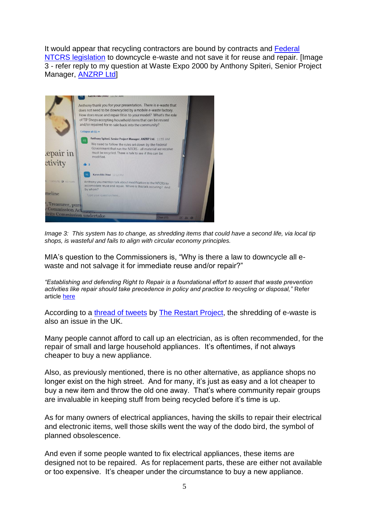It would appear that recycling contractors are bound by contracts and [Federal](https://www.environment.gov.au/news/2018/06/28/ntcrs-regulatory-changes-and-improvements-2018)  [NTCRS legislation](https://www.environment.gov.au/news/2018/06/28/ntcrs-regulatory-changes-and-improvements-2018) to downcycle e-waste and not save it for reuse and repair. [Image 3 - refer reply to my question at Waste Expo 2000 by Anthony Spiteri, Senior Project Manager, **ANZRP Ltd** 



*Image 3: This system has to change, as shredding items that could have a second life, via local tip shops, is wasteful and fails to align with circular economy principles.*

MIA's question to the Commissioners is, "Why is there a law to downcycle all ewaste and not salvage it for immediate reuse and/or repair?"

*"Establishing and defending Right to Repair is a foundational effort to assert that waste prevention activities like repair should take precedence in policy and practice to recycling or disposal,"* Refer article [here](https://resource-recycling.com/e-scrap/2021/01/21/recycling-commission-endorses-right-to-repair-bill/?fbclid=IwAR13Dy6L7mFXBm8b8eL49YKXCGefpd0noa7hW2faxBuDK_ZFnspjrqyvlgE)

According to a [thread of tweets](https://twitter.com/RestartProject/status/1353628319699369985) by [The Restart Project,](https://therestartproject.org/) the shredding of e-waste is also an issue in the UK.

Many people cannot afford to call up an electrician, as is often recommended, for the repair of small and large household appliances. It's oftentimes, if not always cheaper to buy a new appliance.

Also, as previously mentioned, there is no other alternative, as appliance shops no longer exist on the high street. And for many, it's just as easy and a lot cheaper to buy a new item and throw the old one away. That's where community repair groups are invaluable in keeping stuff from being recycled before it's time is up.

As for many owners of electrical appliances, having the skills to repair their electrical and electronic items, well those skills went the way of the dodo bird, the symbol of planned obsolescence.

And even if some people wanted to fix electrical appliances, these items are designed not to be repaired. As for replacement parts, these are either not available or too expensive. It's cheaper under the circumstance to buy a new appliance.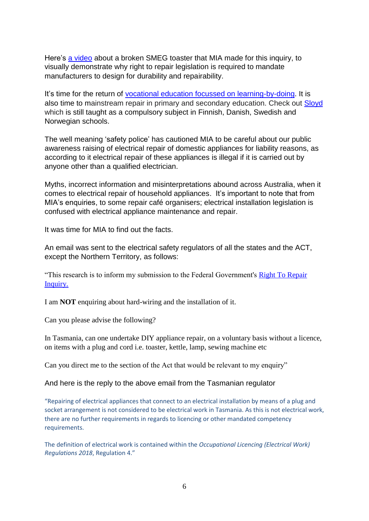Here's [a video](https://youtu.be/gJE8t_Q9pTA) about a broken SMEG toaster that MIA made for this inquiry, to visually demonstrate why right to repair legislation is required to mandate manufacturers to design for durability and repairability.

It's time for the return of vocational education [focussed on learning-by-doing.](https://www.pc.gov.au/inquiries/completed/skills-workforce-agreement/report) It is also time to mainstream repair in primary and secondary education. Check out [Sloyd](https://en.wikipedia.org/wiki/Sloyd) which is still taught as a compulsory subject in Finnish, Danish, Swedish and Norwegian schools.

The well meaning 'safety police' has cautioned MIA to be careful about our public awareness raising of electrical repair of domestic appliances for liability reasons, as according to it electrical repair of these appliances is illegal if it is carried out by anyone other than a qualified electrician.

Myths, incorrect information and misinterpretations abound across Australia, when it comes to electrical repair of household appliances. It's important to note that from MIA's enquiries, to some repair café organisers; electrical installation legislation is confused with electrical appliance maintenance and repair.

It was time for MIA to find out the facts.

An email was sent to the electrical safety regulators of all the states and the ACT, except the Northern Territory, as follows:

"This research is to inform my submission to the Federal Government's [Right To Repair](https://aus01.safelinks.protection.outlook.com/?url=https%3A%2F%2Fwww.pc.gov.au%2Finquiries%2Fcurrent%2Frepair&data=04%7C01%7CCBOS.info%40justice.tas.gov.au%7Cfa799e521f2348310ec408d8a55e6486%7Cce3bd35aee3444939df75b9fa88fdf8e%7C0%7C0%7C637441172252453458%7CUnknown%7CTWFpbGZsb3d8eyJWIjoiMC4wLjAwMDAiLCJQIjoiV2luMzIiLCJBTiI6Ik1haWwiLCJXVCI6Mn0%3D%7C1000&sdata=OPKk440yv7rUBbBvpCmoJ6I8n1wV5Him5G2OmMnBdV8%3D&reserved=0)  [Inquiry.](https://aus01.safelinks.protection.outlook.com/?url=https%3A%2F%2Fwww.pc.gov.au%2Finquiries%2Fcurrent%2Frepair&data=04%7C01%7CCBOS.info%40justice.tas.gov.au%7Cfa799e521f2348310ec408d8a55e6486%7Cce3bd35aee3444939df75b9fa88fdf8e%7C0%7C0%7C637441172252453458%7CUnknown%7CTWFpbGZsb3d8eyJWIjoiMC4wLjAwMDAiLCJQIjoiV2luMzIiLCJBTiI6Ik1haWwiLCJXVCI6Mn0%3D%7C1000&sdata=OPKk440yv7rUBbBvpCmoJ6I8n1wV5Him5G2OmMnBdV8%3D&reserved=0)

I am **NOT** enquiring about hard-wiring and the installation of it.

Can you please advise the following?

In Tasmania, can one undertake DIY appliance repair, on a voluntary basis without a licence, on items with a plug and cord i.e. toaster, kettle, lamp, sewing machine etc

Can you direct me to the section of the Act that would be relevant to my enquiry"

## And here is the reply to the above email from the Tasmanian regulator

"Repairing of electrical appliances that connect to an electrical installation by means of a plug and socket arrangement is not considered to be electrical work in Tasmania. As this is not electrical work, there are no further requirements in regards to licencing or other mandated competency requirements.

The definition of electrical work is contained within the *Occupational Licencing (Electrical Work) Regulations 2018*, Regulation 4."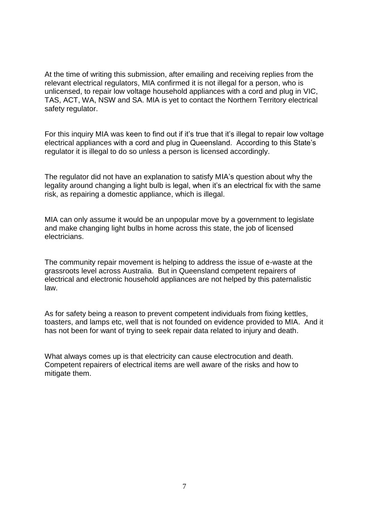At the time of writing this submission, after emailing and receiving replies from the relevant electrical regulators, MIA confirmed it is not illegal for a person, who is unlicensed, to repair low voltage household appliances with a cord and plug in VIC, TAS, ACT, WA, NSW and SA. MIA is yet to contact the Northern Territory electrical safety regulator.

For this inquiry MIA was keen to find out if it's true that it's illegal to repair low voltage electrical appliances with a cord and plug in Queensland. According to this State's regulator it is illegal to do so unless a person is licensed accordingly.

The regulator did not have an explanation to satisfy MIA's question about why the legality around changing a light bulb is legal, when it's an electrical fix with the same risk, as repairing a domestic appliance, which is illegal.

MIA can only assume it would be an unpopular move by a government to legislate and make changing light bulbs in home across this state, the job of licensed electricians.

The community repair movement is helping to address the issue of e-waste at the grassroots level across Australia. But in Queensland competent repairers of electrical and electronic household appliances are not helped by this paternalistic law.

As for safety being a reason to prevent competent individuals from fixing kettles, toasters, and lamps etc, well that is not founded on evidence provided to MIA. And it has not been for want of trying to seek repair data related to injury and death.

What always comes up is that electricity can cause electrocution and death. Competent repairers of electrical items are well aware of the risks and how to mitigate them.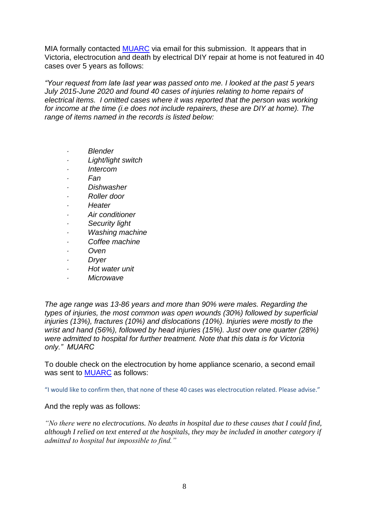MIA formally contacted [MUARC](https://www.monash.edu/muarc) via email for this submission. It appears that in Victoria, electrocution and death by electrical DIY repair at home is not featured in 40 cases over 5 years as follows:

*"Your request from late last year was passed onto me. I looked at the past 5 years July 2015-June 2020 and found 40 cases of injuries relating to home repairs of electrical items. I omitted cases where it was reported that the person was working for income at the time (i.e does not include repairers, these are DIY at home). The range of items named in the records is listed below:*

- *· Blender*
- *· Light/light switch*
- *· Intercom*
- *· Fan*
- *· Dishwasher*
- *· Roller door*
- *· Heater*
- *· Air conditioner*
- *· Security light*
- *· Washing machine*
- *· Coffee machine*
- *· Oven*
- *· Dryer*
- *· Hot water unit*
- *· Microwave*

*The age range was 13-86 years and more than 90% were males. Regarding the types of injuries, the most common was open wounds (30%) followed by superficial injuries (13%), fractures (10%) and dislocations (10%). Injuries were mostly to the wrist and hand (56%), followed by head injuries (15%). Just over one quarter (28%) were admitted to hospital for further treatment. Note that this data is for Victoria only." MUARC* 

To double check on the electrocution by home appliance scenario, a second email was sent to [MUARC](https://www.monash.edu/muarc/research/research-areas/home-and-community/visu) as follows:

"I would like to confirm then, that none of these 40 cases was electrocution related. Please advise."

And the reply was as follows:

*"No there were no electrocutions. No deaths in hospital due to these causes that I could find, although I relied on text entered at the hospitals, they may be included in another category if admitted to hospital but impossible to find."*